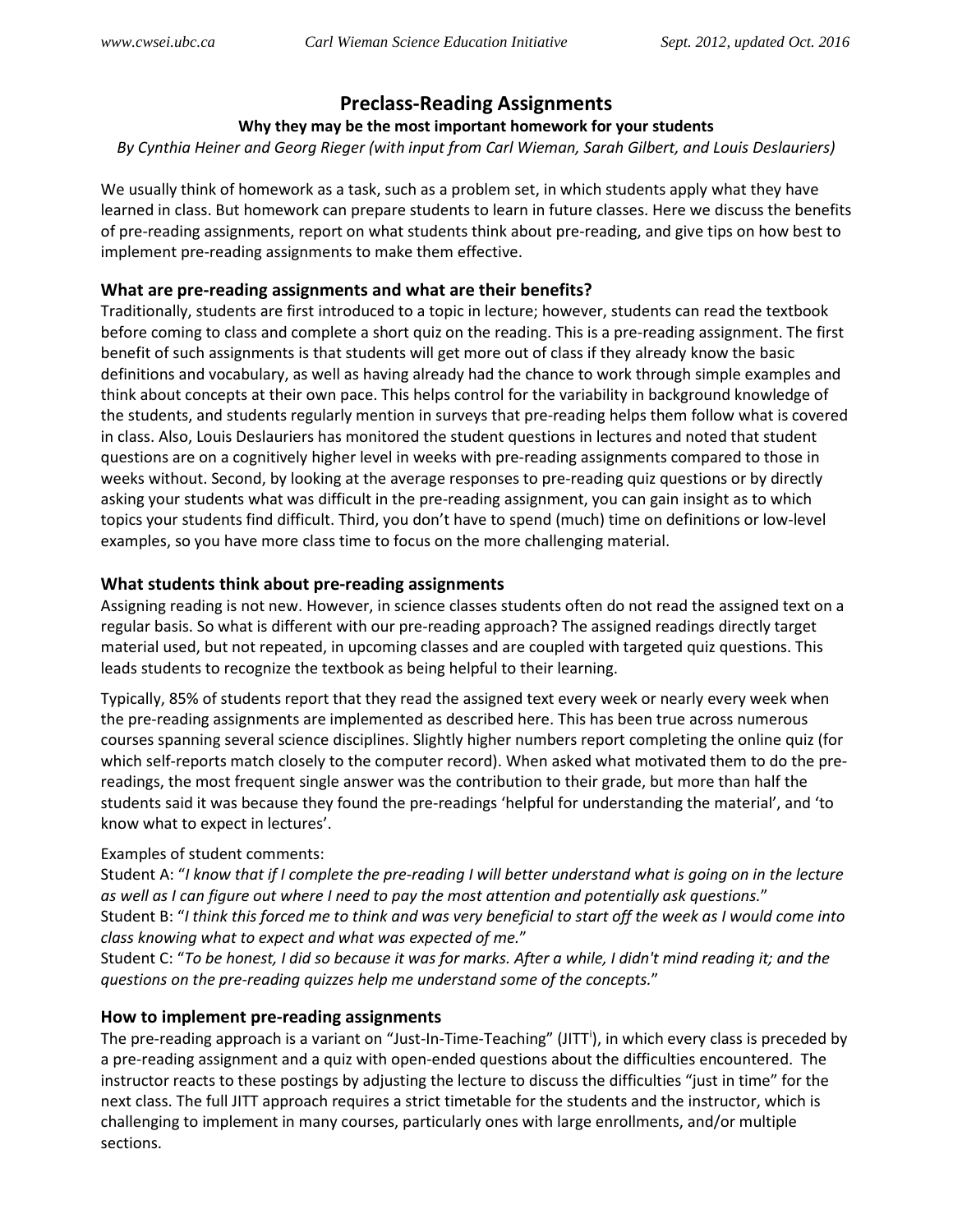# **Preclass-Reading Assignments**

# **Why they may be the most important homework for your students**

*By Cynthia Heiner and Georg Rieger (with input from Carl Wieman, Sarah Gilbert, and Louis Deslauriers)*

We usually think of homework as a task, such as a problem set, in which students apply what they have learned in class. But homework can prepare students to learn in future classes. Here we discuss the benefits of pre-reading assignments, report on what students think about pre-reading, and give tips on how best to implement pre-reading assignments to make them effective.

#### **What are pre-reading assignments and what are their benefits?**

Traditionally, students are first introduced to a topic in lecture; however, students can read the textbook before coming to class and complete a short quiz on the reading. This is a pre-reading assignment. The first benefit of such assignments is that students will get more out of class if they already know the basic definitions and vocabulary, as well as having already had the chance to work through simple examples and think about concepts at their own pace. This helps control for the variability in background knowledge of the students, and students regularly mention in surveys that pre-reading helps them follow what is covered in class. Also, Louis Deslauriers has monitored the student questions in lectures and noted that student questions are on a cognitively higher level in weeks with pre-reading assignments compared to those in weeks without. Second, by looking at the average responses to pre-reading quiz questions or by directly asking your students what was difficult in the pre-reading assignment, you can gain insight as to which topics your students find difficult. Third, you don't have to spend (much) time on definitions or low-level examples, so you have more class time to focus on the more challenging material.

# **What students think about pre-reading assignments**

Assigning reading is not new. However, in science classes students often do not read the assigned text on a regular basis. So what is different with our pre-reading approach? The assigned readings directly target material used, but not repeated, in upcoming classes and are coupled with targeted quiz questions. This leads students to recognize the textbook as being helpful to their learning.

Typically, 85% of students report that they read the assigned text every week or nearly every week when the pre-reading assignments are implemented as described here. This has been true across numerous courses spanning several science disciplines. Slightly higher numbers report completing the online quiz (for which self-reports match closely to the computer record). When asked what motivated them to do the prereadings, the most frequent single answer was the contribution to their grade, but more than half the students said it was because they found the pre-readings 'helpful for understanding the material', and 'to know what to expect in lectures'.

#### Examples of student comments:

Student A: "*I know that if I complete the pre-reading I will better understand what is going on in the lecture as well as I can figure out where I need to pay the most attention and potentially ask questions.*" Student B: "*I think this forced me to think and was very beneficial to start off the week as I would come into class knowing what to expect and what was expected of me.*"

Student C: "*To be honest, I did so because it was for marks. After a while, I didn't mind reading it; and the questions on the pre-reading quizzes help me understand some of the concepts.*"

# **How to implement pre-reading assignments**

The pre-read[i](#page-1-0)ng approach is a variant on "Just-In-Time-Teaching" (JITT<sup>i</sup>), in which every class is preceded by a pre-reading assignment and a quiz with open-ended questions about the difficulties encountered. The instructor reacts to these postings by adjusting the lecture to discuss the difficulties "just in time" for the next class. The full JITT approach requires a strict timetable for the students and the instructor, which is challenging to implement in many courses, particularly ones with large enrollments, and/or multiple sections.